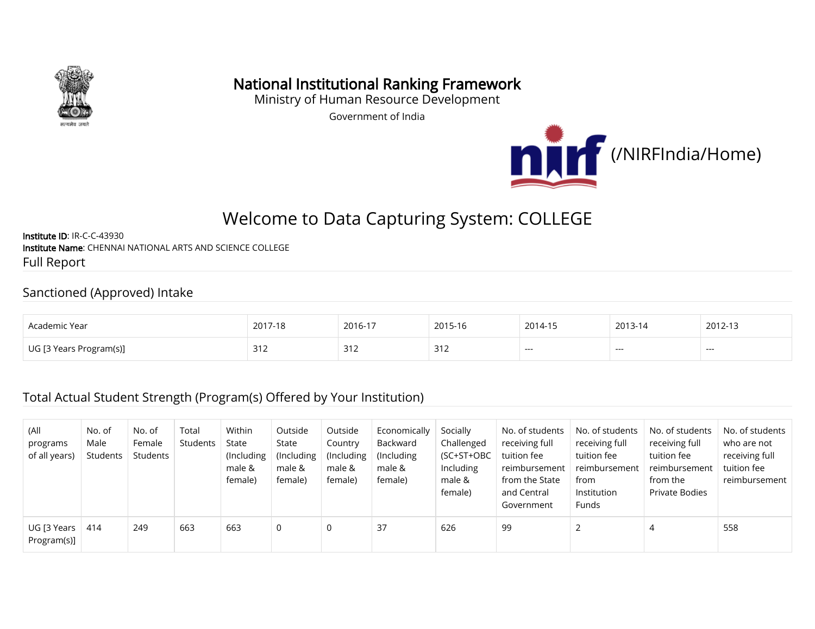

## National Institutional Ranking Framework

Ministry of Human Resource Development

Government of India



# Welcome to Data Capturing System: COLLEGE

Institute ID: IR-C-C-43930 Institute Name: CHENNAI NATIONAL ARTS AND SCIENCE COLLEGE Full Report

#### Sanctioned (Approved) Intake

| Academic Year | 2017-18                | 2016-17                      | 2015-16 | 2014-15 | 2013-14 | 2012-13 |
|---------------|------------------------|------------------------------|---------|---------|---------|---------|
| Program(s)]   | $\sim$ $\sim$<br>ے ا ت | $\mathcal{L}$<br><u>- 14</u> | 312     | ---     | ---     | ---     |

#### Total Actual Student Strength (Program(s) Offered by Your Institution)

| (All<br>programs<br>of all years) | No. of<br>Male<br>Students | No. of<br>Female<br>Students | Total<br>Students | Within<br>State<br>(Including<br>male &<br>female) | Outside<br>State<br>(Including)<br>male &<br>female) | Outside<br>Country<br>(Including)<br>male &<br>female) | Economically<br>Backward<br>(Including)<br>male &<br>female) | Socially<br>Challenged<br>(SC+ST+OBC<br>Including<br>male &<br>female) | No. of students<br>receiving full<br>tuition fee<br>reimbursement<br>from the State<br>and Central<br>Government | No. of students<br>receiving full<br>tuition fee<br>reimbursement<br>from<br>Institution<br>Funds | No. of students<br>receiving full<br>tuition fee<br>reimbursement<br>from the<br>Private Bodies | No. of students<br>who are not<br>receiving full<br>tuition fee<br>reimbursement |
|-----------------------------------|----------------------------|------------------------------|-------------------|----------------------------------------------------|------------------------------------------------------|--------------------------------------------------------|--------------------------------------------------------------|------------------------------------------------------------------------|------------------------------------------------------------------------------------------------------------------|---------------------------------------------------------------------------------------------------|-------------------------------------------------------------------------------------------------|----------------------------------------------------------------------------------|
| UG [3 Years<br>Program(s)]        | 414                        | 249                          | 663               | 663                                                | 0                                                    | 0                                                      | 37                                                           | 626                                                                    | 99                                                                                                               |                                                                                                   | 4                                                                                               | 558                                                                              |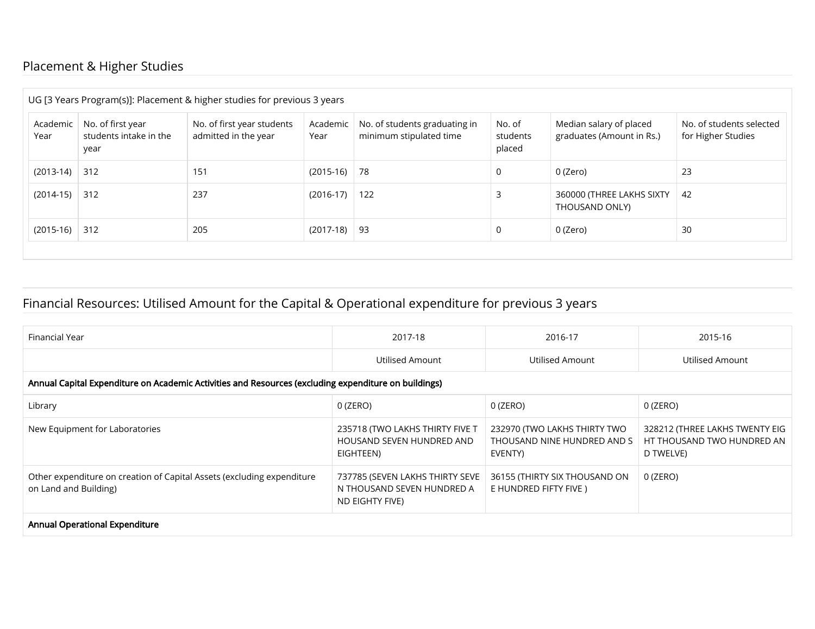### Placement & Higher Studies

|                  |                                                     | UG [3 Years Program(s)]: Placement & higher studies for previous 3 years |                  |                                                          |                              |                                                      |                                                |
|------------------|-----------------------------------------------------|--------------------------------------------------------------------------|------------------|----------------------------------------------------------|------------------------------|------------------------------------------------------|------------------------------------------------|
| Academic<br>Year | No. of first year<br>students intake in the<br>year | No. of first year students<br>admitted in the year                       | Academic<br>Year | No. of students graduating in<br>minimum stipulated time | No. of<br>students<br>placed | Median salary of placed<br>graduates (Amount in Rs.) | No. of students selected<br>for Higher Studies |
| $(2013-14)$      | 312                                                 | 151                                                                      | $(2015-16)$ 78   |                                                          | 0                            | 0 (Zero)                                             | 23                                             |
| $(2014-15)$      | 312                                                 | 237                                                                      | $(2016-17)$      | 122                                                      |                              | 360000 (THREE LAKHS SIXTY<br>THOUSAND ONLY)          | 42                                             |
| $(2015-16)$      | 312                                                 | 205                                                                      | $(2017-18)$ 93   |                                                          | 0                            | 0 (Zero)                                             | 30                                             |

### Financial Resources: Utilised Amount for the Capital & Operational expenditure for previous 3 years

| Financial Year                                                                                       | 2017-18                                                                          | 2016-17                                                                | 2015-16                                                                   |
|------------------------------------------------------------------------------------------------------|----------------------------------------------------------------------------------|------------------------------------------------------------------------|---------------------------------------------------------------------------|
|                                                                                                      | Utilised Amount                                                                  | Utilised Amount                                                        | Utilised Amount                                                           |
| Annual Capital Expenditure on Academic Activities and Resources (excluding expenditure on buildings) |                                                                                  |                                                                        |                                                                           |
| Library                                                                                              | 0 (ZERO)                                                                         | 0 (ZERO)                                                               | 0 (ZERO)                                                                  |
| New Equipment for Laboratories                                                                       | 235718 (TWO LAKHS THIRTY FIVE T<br>HOUSAND SEVEN HUNDRED AND<br>EIGHTEEN)        | 232970 (TWO LAKHS THIRTY TWO<br>THOUSAND NINE HUNDRED AND S<br>EVENTY) | 328212 (THREE LAKHS TWENTY EIG<br>HT THOUSAND TWO HUNDRED AN<br>D TWELVE) |
| Other expenditure on creation of Capital Assets (excluding expenditure<br>on Land and Building)      | 737785 (SEVEN LAKHS THIRTY SEVE<br>N THOUSAND SEVEN HUNDRED A<br>ND EIGHTY FIVE) | 36155 (THIRTY SIX THOUSAND ON<br>E HUNDRED FIFTY FIVE )                | 0 (ZERO)                                                                  |
| Annual Operational Expenditure                                                                       |                                                                                  |                                                                        |                                                                           |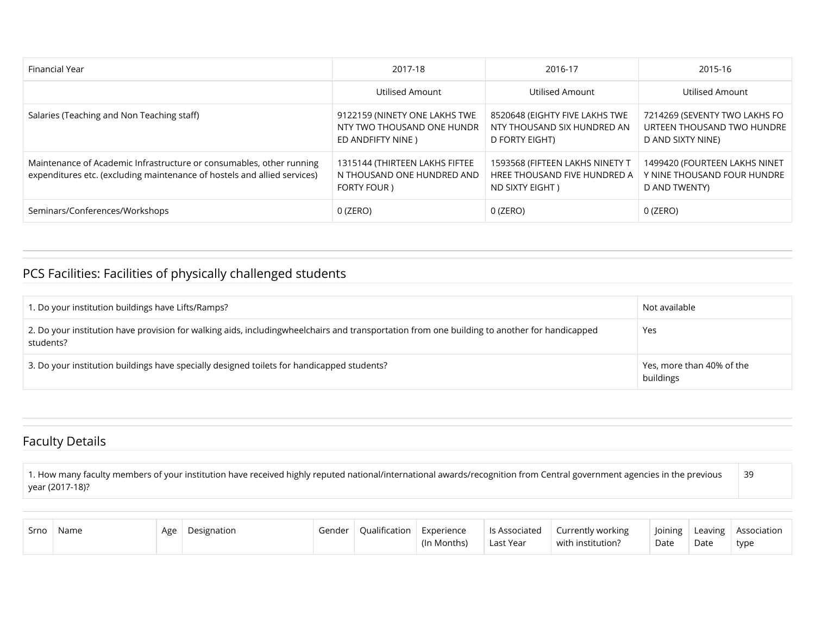| <b>Financial Year</b>                                                                                                                            | 2017-18                                                                          | 2016-17                                                                            | 2015-16                                                                          |
|--------------------------------------------------------------------------------------------------------------------------------------------------|----------------------------------------------------------------------------------|------------------------------------------------------------------------------------|----------------------------------------------------------------------------------|
|                                                                                                                                                  | Utilised Amount                                                                  | Utilised Amount                                                                    | Utilised Amount                                                                  |
| Salaries (Teaching and Non Teaching staff)                                                                                                       | 9122159 (NINETY ONE LAKHS TWE<br>NTY TWO THOUSAND ONE HUNDR<br>ED ANDFIFTY NINE) | 8520648 (EIGHTY FIVE LAKHS TWE<br>NTY THOUSAND SIX HUNDRED AN<br>D FORTY EIGHT)    | 7214269 (SEVENTY TWO LAKHS FO<br>URTEEN THOUSAND TWO HUNDRE<br>D AND SIXTY NINE) |
| Maintenance of Academic Infrastructure or consumables, other running<br>expenditures etc. (excluding maintenance of hostels and allied services) | 1315144 (THIRTEEN LAKHS FIFTEE<br>N THOUSAND ONE HUNDRED AND<br>FORTY FOUR)      | 1593568 (FIFTEEN LAKHS NINETY T<br>HREE THOUSAND FIVE HUNDRED A<br>ND SIXTY EIGHT) | 1499420 (FOURTEEN LAKHS NINET<br>Y NINE THOUSAND FOUR HUNDRE<br>D AND TWENTY)    |
| Seminars/Conferences/Workshops                                                                                                                   | 0 (ZERO)                                                                         | 0 (ZERO)                                                                           | 0 (ZERO)                                                                         |

### PCS Facilities: Facilities of physically challenged students

| 1. Do your institution buildings have Lifts/Ramps?                                                                                                        | Not available                          |
|-----------------------------------------------------------------------------------------------------------------------------------------------------------|----------------------------------------|
| 2. Do your institution have provision for walking aids, includingwheelchairs and transportation from one building to another for handicapped<br>students? | Yes                                    |
| 3. Do your institution buildings have specially designed toilets for handicapped students?                                                                | Yes, more than 40% of the<br>buildings |

#### Faculty Details

1. How many faculty members of your institution have received highly reputed national/international awards/recognition from Central government agencies in the previous year (2017-18)? 39

| Srno | Name | Age | Designation | Gender | Oualification | Experience  | ls Associated | Currently working | Joining |      | Leaving   Association |
|------|------|-----|-------------|--------|---------------|-------------|---------------|-------------------|---------|------|-----------------------|
|      |      |     |             |        |               | (In Months) | Last Year     | with institution? | Date    | Date | type                  |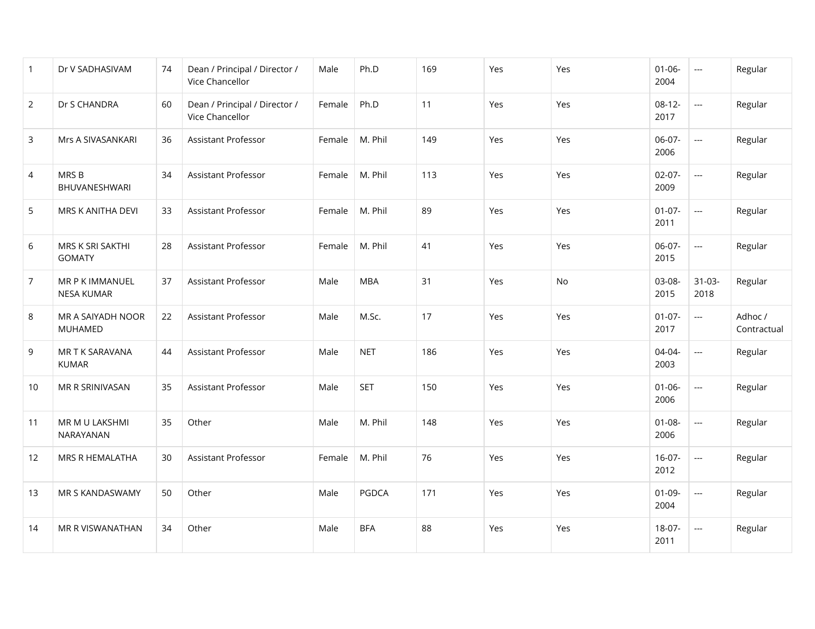| $\mathbf{1}$   | Dr V SADHASIVAM                      | 74 | Dean / Principal / Director /<br>Vice Chancellor | Male   | Ph.D       | 169 | Yes | Yes | $01 - 06 -$<br>2004 | $\overline{\phantom{a}}$ | Regular                |
|----------------|--------------------------------------|----|--------------------------------------------------|--------|------------|-----|-----|-----|---------------------|--------------------------|------------------------|
| $\overline{2}$ | Dr S CHANDRA                         | 60 | Dean / Principal / Director /<br>Vice Chancellor | Female | Ph.D       | 11  | Yes | Yes | $08-12-$<br>2017    | $\overline{a}$           | Regular                |
| 3              | Mrs A SIVASANKARI                    | 36 | Assistant Professor                              | Female | M. Phil    | 149 | Yes | Yes | 06-07-<br>2006      | $\overline{a}$           | Regular                |
| $\overline{4}$ | MRS B<br>BHUVANESHWARI               | 34 | <b>Assistant Professor</b>                       | Female | M. Phil    | 113 | Yes | Yes | $02-07-$<br>2009    | $\frac{1}{2}$            | Regular                |
| 5              | MRS K ANITHA DEVI                    | 33 | <b>Assistant Professor</b>                       | Female | M. Phil    | 89  | Yes | Yes | $01-07-$<br>2011    | $\overline{a}$           | Regular                |
| 6              | MRS K SRI SAKTHI<br><b>GOMATY</b>    | 28 | Assistant Professor                              | Female | M. Phil    | 41  | Yes | Yes | 06-07-<br>2015      | $\overline{a}$           | Regular                |
| $\overline{7}$ | MR P K IMMANUEL<br><b>NESA KUMAR</b> | 37 | Assistant Professor                              | Male   | <b>MBA</b> | 31  | Yes | No  | 03-08-<br>2015      | $31 - 03 -$<br>2018      | Regular                |
| 8              | MR A SAIYADH NOOR<br>MUHAMED         | 22 | <b>Assistant Professor</b>                       | Male   | M.Sc.      | 17  | Yes | Yes | $01-07-$<br>2017    | $\overline{a}$           | Adhoc /<br>Contractual |
| 9              | MR T K SARAVANA<br><b>KUMAR</b>      | 44 | Assistant Professor                              | Male   | <b>NET</b> | 186 | Yes | Yes | 04-04-<br>2003      | $\overline{a}$           | Regular                |
| 10             | MR R SRINIVASAN                      | 35 | Assistant Professor                              | Male   | <b>SET</b> | 150 | Yes | Yes | $01 - 06 -$<br>2006 | ---                      | Regular                |
| 11             | MR M U LAKSHMI<br>NARAYANAN          | 35 | Other                                            | Male   | M. Phil    | 148 | Yes | Yes | $01 - 08 -$<br>2006 | $\overline{a}$           | Regular                |
| 12             | MRS R HEMALATHA                      | 30 | Assistant Professor                              | Female | M. Phil    | 76  | Yes | Yes | $16-07-$<br>2012    | $\overline{a}$           | Regular                |
| 13             | MR S KANDASWAMY                      | 50 | Other                                            | Male   | PGDCA      | 171 | Yes | Yes | $01-09-$<br>2004    | ---                      | Regular                |
| 14             | MR R VISWANATHAN                     | 34 | Other                                            | Male   | <b>BFA</b> | 88  | Yes | Yes | 18-07-<br>2011      | $\overline{\phantom{a}}$ | Regular                |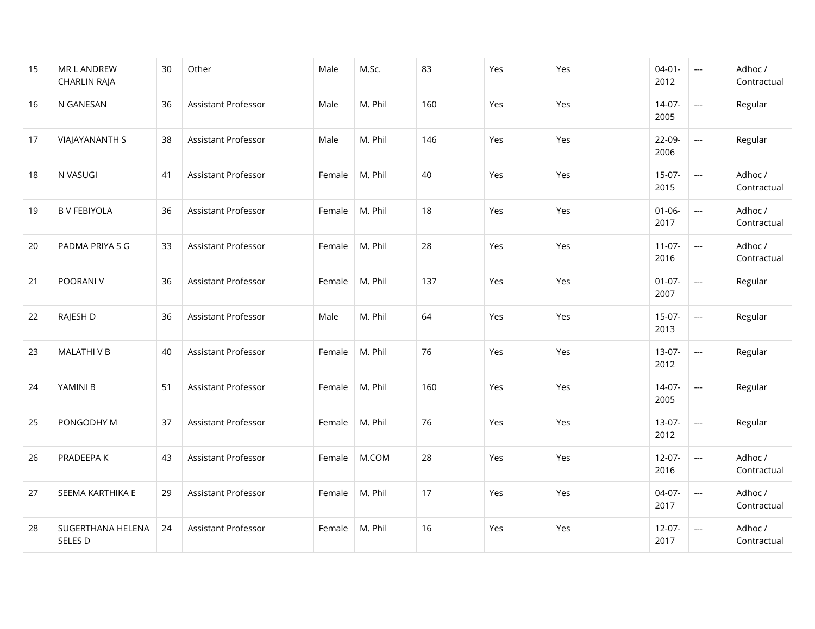| 15 | MR L ANDREW<br><b>CHARLIN RAJA</b> | 30 | Other                      | Male   | M.Sc.   | 83  | Yes | Yes | $04 - 01 -$<br>2012 | $\overline{a}$           | Adhoc /<br>Contractual |
|----|------------------------------------|----|----------------------------|--------|---------|-----|-----|-----|---------------------|--------------------------|------------------------|
| 16 | N GANESAN                          | 36 | <b>Assistant Professor</b> | Male   | M. Phil | 160 | Yes | Yes | $14-07-$<br>2005    | $\overline{a}$           | Regular                |
| 17 | <b>VIAJAYANANTH S</b>              | 38 | <b>Assistant Professor</b> | Male   | M. Phil | 146 | Yes | Yes | 22-09-<br>2006      | ---                      | Regular                |
| 18 | N VASUGI                           | 41 | <b>Assistant Professor</b> | Female | M. Phil | 40  | Yes | Yes | $15-07-$<br>2015    | $\overline{a}$           | Adhoc /<br>Contractual |
| 19 | <b>B V FEBIYOLA</b>                | 36 | <b>Assistant Professor</b> | Female | M. Phil | 18  | Yes | Yes | $01 - 06 -$<br>2017 | $\overline{a}$           | Adhoc /<br>Contractual |
| 20 | PADMA PRIYA S G                    | 33 | <b>Assistant Professor</b> | Female | M. Phil | 28  | Yes | Yes | $11-07-$<br>2016    | $\overline{a}$           | Adhoc /<br>Contractual |
| 21 | POORANI V                          | 36 | <b>Assistant Professor</b> | Female | M. Phil | 137 | Yes | Yes | $01-07-$<br>2007    |                          | Regular                |
| 22 | RAJESH D                           | 36 | Assistant Professor        | Male   | M. Phil | 64  | Yes | Yes | $15-07-$<br>2013    | $\overline{a}$           | Regular                |
| 23 | MALATHI V B                        | 40 | Assistant Professor        | Female | M. Phil | 76  | Yes | Yes | $13-07-$<br>2012    | $\overline{\phantom{a}}$ | Regular                |
| 24 | YAMINI B                           | 51 | Assistant Professor        | Female | M. Phil | 160 | Yes | Yes | $14-07-$<br>2005    |                          | Regular                |
| 25 | PONGODHY M                         | 37 | Assistant Professor        | Female | M. Phil | 76  | Yes | Yes | 13-07-<br>2012      | $\overline{\phantom{a}}$ | Regular                |
| 26 | PRADEEPA K                         | 43 | Assistant Professor        | Female | M.COM   | 28  | Yes | Yes | $12 - 07 -$<br>2016 | $\overline{a}$           | Adhoc /<br>Contractual |
| 27 | SEEMA KARTHIKA E                   | 29 | Assistant Professor        | Female | M. Phil | 17  | Yes | Yes | 04-07-<br>2017      | $\overline{a}$           | Adhoc /<br>Contractual |
| 28 | SUGERTHANA HELENA<br>SELES D       | 24 | Assistant Professor        | Female | M. Phil | 16  | Yes | Yes | $12 - 07 -$<br>2017 | $\overline{\phantom{a}}$ | Adhoc /<br>Contractual |